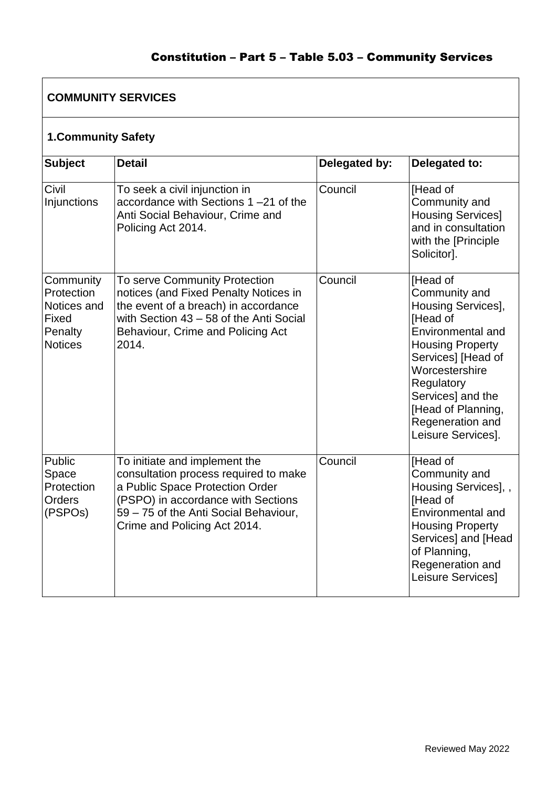### **COMMUNITY SERVICES**

### **1.Community Safety**

| <b>Subject</b>                                                               | <b>Detail</b>                                                                                                                                                                                                            | Delegated by: | Delegated to:                                                                                                                                                                                                                                          |  |
|------------------------------------------------------------------------------|--------------------------------------------------------------------------------------------------------------------------------------------------------------------------------------------------------------------------|---------------|--------------------------------------------------------------------------------------------------------------------------------------------------------------------------------------------------------------------------------------------------------|--|
| Civil<br>Injunctions                                                         | To seek a civil injunction in<br>accordance with Sections 1-21 of the<br>Anti Social Behaviour, Crime and<br>Policing Act 2014.                                                                                          | Council       | [Head of<br>Community and<br><b>Housing Services]</b><br>and in consultation<br>with the [Principle<br>Solicitor].                                                                                                                                     |  |
| Community<br>Protection<br>Notices and<br>Fixed<br>Penalty<br><b>Notices</b> | To serve Community Protection<br>notices (and Fixed Penalty Notices in<br>the event of a breach) in accordance<br>with Section 43 - 58 of the Anti Social<br>Behaviour, Crime and Policing Act<br>2014.                  | Council       | [Head of<br>Community and<br>Housing Services],<br>[Head of<br>Environmental and<br><b>Housing Property</b><br>Services] [Head of<br>Worcestershire<br>Regulatory<br>Services] and the<br>[Head of Planning,<br>Regeneration and<br>Leisure Services]. |  |
| Public<br>Space<br>Protection<br><b>Orders</b><br>(PSPO <sub>s</sub> )       | To initiate and implement the<br>consultation process required to make<br>a Public Space Protection Order<br>(PSPO) in accordance with Sections<br>59 - 75 of the Anti Social Behaviour,<br>Crime and Policing Act 2014. | Council       | [Head of<br>Community and<br>Housing Services], ,<br>[Head of<br>Environmental and<br><b>Housing Property</b><br>Services] and [Head<br>of Planning,<br>Regeneration and<br>Leisure Services]                                                          |  |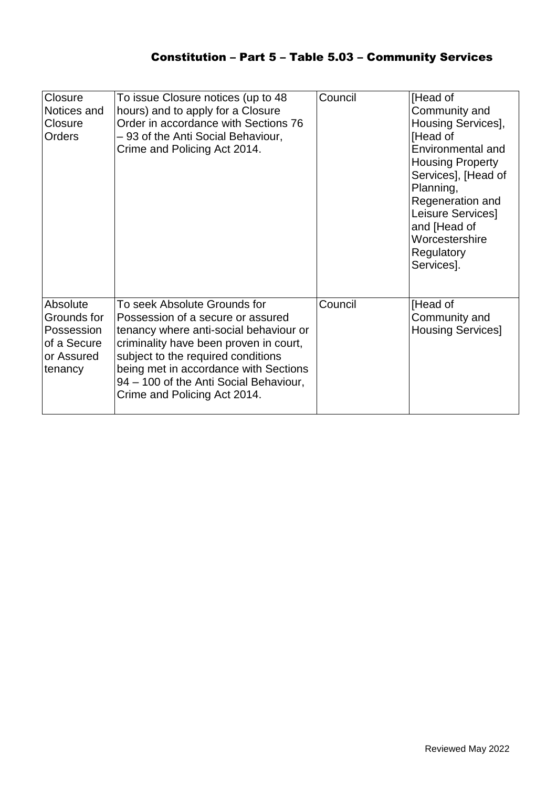| Closure<br>Notices and<br>Closure<br><b>Orders</b>                            | To issue Closure notices (up to 48<br>hours) and to apply for a Closure<br>Order in accordance with Sections 76<br>- 93 of the Anti Social Behaviour,<br>Crime and Policing Act 2014.                                                                                                                          | Council | [Head of<br>Community and<br>Housing Services],<br>[Head of<br>Environmental and<br><b>Housing Property</b><br>Services], [Head of<br>Planning,<br>Regeneration and<br>Leisure Services]<br>and [Head of<br>Worcestershire<br>Regulatory<br>Services]. |
|-------------------------------------------------------------------------------|----------------------------------------------------------------------------------------------------------------------------------------------------------------------------------------------------------------------------------------------------------------------------------------------------------------|---------|--------------------------------------------------------------------------------------------------------------------------------------------------------------------------------------------------------------------------------------------------------|
| Absolute<br>Grounds for<br>Possession<br>of a Secure<br>or Assured<br>tenancy | To seek Absolute Grounds for<br>Possession of a secure or assured<br>tenancy where anti-social behaviour or<br>criminality have been proven in court,<br>subject to the required conditions<br>being met in accordance with Sections<br>94 - 100 of the Anti Social Behaviour,<br>Crime and Policing Act 2014. | Council | [Head of<br>Community and<br><b>Housing Services]</b>                                                                                                                                                                                                  |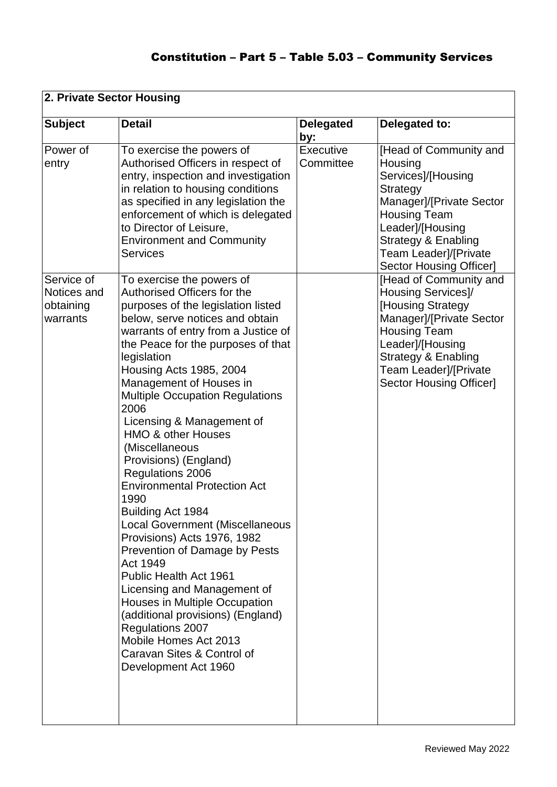| 2. Private Sector Housing                          |                                                                                                                                                                                                                                                                                                                                                                                                                                                                                                                                                                                                                                                                                                                                                                                                                                                                                                       |                         |                                                                                                                                                                                                                                         |  |
|----------------------------------------------------|-------------------------------------------------------------------------------------------------------------------------------------------------------------------------------------------------------------------------------------------------------------------------------------------------------------------------------------------------------------------------------------------------------------------------------------------------------------------------------------------------------------------------------------------------------------------------------------------------------------------------------------------------------------------------------------------------------------------------------------------------------------------------------------------------------------------------------------------------------------------------------------------------------|-------------------------|-----------------------------------------------------------------------------------------------------------------------------------------------------------------------------------------------------------------------------------------|--|
| <b>Subject</b>                                     | <b>Detail</b>                                                                                                                                                                                                                                                                                                                                                                                                                                                                                                                                                                                                                                                                                                                                                                                                                                                                                         | <b>Delegated</b><br>by: | Delegated to:                                                                                                                                                                                                                           |  |
| Power of<br>entry                                  | To exercise the powers of<br>Authorised Officers in respect of<br>entry, inspection and investigation<br>in relation to housing conditions<br>as specified in any legislation the<br>enforcement of which is delegated<br>to Director of Leisure,<br><b>Environment and Community</b><br><b>Services</b>                                                                                                                                                                                                                                                                                                                                                                                                                                                                                                                                                                                              | Executive<br>Committee  | [Head of Community and<br>Housing<br>Services]/[Housing<br>Strategy<br>Manager]/[Private Sector<br><b>Housing Team</b><br>Leader]/[Housing<br><b>Strategy &amp; Enabling</b><br>Team Leader]/[Private<br><b>Sector Housing Officer]</b> |  |
| Service of<br>Notices and<br>obtaining<br>warrants | To exercise the powers of<br>Authorised Officers for the<br>purposes of the legislation listed<br>below, serve notices and obtain<br>warrants of entry from a Justice of<br>the Peace for the purposes of that<br>legislation<br>Housing Acts 1985, 2004<br>Management of Houses in<br><b>Multiple Occupation Regulations</b><br>2006<br>Licensing & Management of<br><b>HMO &amp; other Houses</b><br>(Miscellaneous<br>Provisions) (England)<br>Regulations 2006<br><b>Environmental Protection Act</b><br>1990<br>Building Act 1984<br><b>Local Government (Miscellaneous</b><br>Provisions) Acts 1976, 1982<br>Prevention of Damage by Pests<br>Act 1949<br><b>Public Health Act 1961</b><br>Licensing and Management of<br>Houses in Multiple Occupation<br>(additional provisions) (England)<br>Regulations 2007<br>Mobile Homes Act 2013<br>Caravan Sites & Control of<br>Development Act 1960 |                         | [Head of Community and<br><b>Housing Services]/</b><br>[Housing Strategy<br>Manager]/[Private Sector<br><b>Housing Team</b><br>Leader]/[Housing<br><b>Strategy &amp; Enabling</b><br>Team Leader]/[Private<br>Sector Housing Officer]   |  |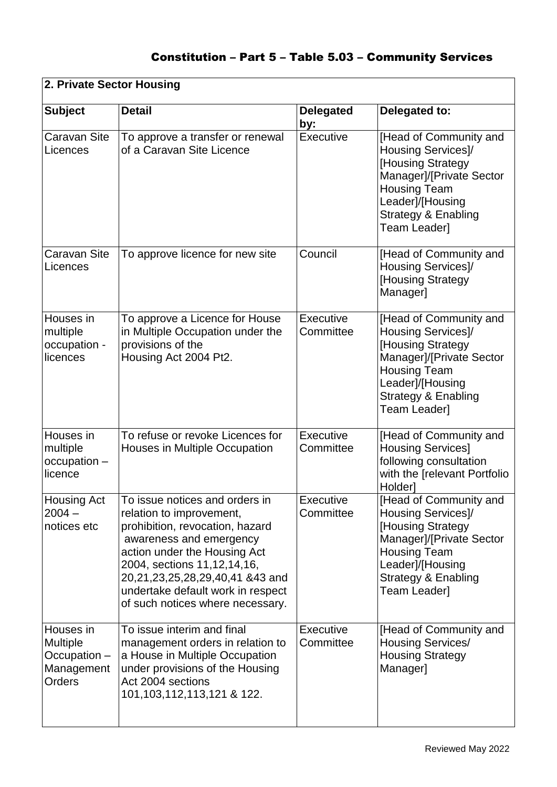| 2. Private Sector Housing                                     |                                                                                                                                                                                                                                                                                                        |                               |                                                                                                                                                                                                   |  |
|---------------------------------------------------------------|--------------------------------------------------------------------------------------------------------------------------------------------------------------------------------------------------------------------------------------------------------------------------------------------------------|-------------------------------|---------------------------------------------------------------------------------------------------------------------------------------------------------------------------------------------------|--|
| <b>Subject</b>                                                | <b>Detail</b>                                                                                                                                                                                                                                                                                          | <b>Delegated</b><br>by:       | Delegated to:                                                                                                                                                                                     |  |
| <b>Caravan Site</b><br>Licences                               | To approve a transfer or renewal<br>of a Caravan Site Licence                                                                                                                                                                                                                                          | Executive                     | [Head of Community and<br>Housing Services]/<br>[Housing Strategy<br>Manager]/[Private Sector<br><b>Housing Team</b><br>Leader]/[Housing<br><b>Strategy &amp; Enabling</b><br>Team Leader]        |  |
| <b>Caravan Site</b><br>Licences                               | To approve licence for new site                                                                                                                                                                                                                                                                        | Council                       | [Head of Community and<br>Housing Services]/<br>[Housing Strategy<br>Manager]                                                                                                                     |  |
| Houses in<br>multiple<br>occupation -<br>licences             | To approve a Licence for House<br>in Multiple Occupation under the<br>provisions of the<br>Housing Act 2004 Pt2.                                                                                                                                                                                       | Executive<br>Committee        | [Head of Community and<br><b>Housing Services]/</b><br>[Housing Strategy<br>Manager]/[Private Sector<br><b>Housing Team</b><br>Leader]/[Housing<br><b>Strategy &amp; Enabling</b><br>Team Leader] |  |
| Houses in<br>multiple<br>$occupation -$<br>licence            | To refuse or revoke Licences for<br>Houses in Multiple Occupation                                                                                                                                                                                                                                      | Executive<br>Committee        | [Head of Community and<br><b>Housing Services]</b><br>following consultation<br>with the [relevant Portfolio<br>Holder]                                                                           |  |
| <b>Housing Act</b><br>$2004 -$<br>notices etc                 | To issue notices and orders in<br>relation to improvement,<br>prohibition, revocation, hazard<br>awareness and emergency<br>action under the Housing Act<br>2004, sections 11, 12, 14, 16,<br>20,21,23,25,28,29,40,41 &43 and<br>undertake default work in respect<br>of such notices where necessary. | <b>Executive</b><br>Committee | [Head of Community and<br>Housing Services]/<br>[Housing Strategy<br>Manager]/[Private Sector<br><b>Housing Team</b><br>Leader]/[Housing<br><b>Strategy &amp; Enabling</b><br>Team Leader]        |  |
| Houses in<br>Multiple<br>Occupation -<br>Management<br>Orders | To issue interim and final<br>management orders in relation to<br>a House in Multiple Occupation<br>under provisions of the Housing<br>Act 2004 sections<br>101, 103, 112, 113, 121 & 122.                                                                                                             | Executive<br>Committee        | [Head of Community and<br><b>Housing Services/</b><br><b>Housing Strategy</b><br>Manager]                                                                                                         |  |

 $\overline{\phantom{a}}$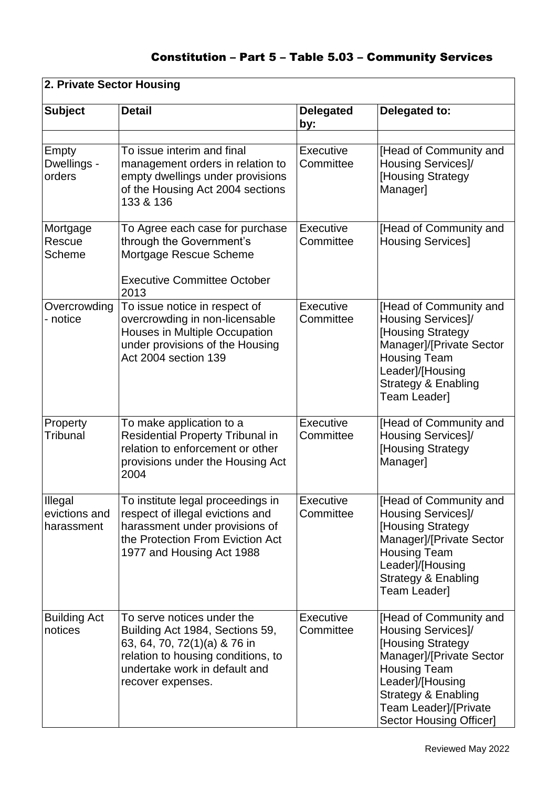#### **2. Private Sector Housing Subject Detail Delegated by: Delegated to:** Empty Dwellings orders To issue interim and final management orders in relation to empty dwellings under provisions of the Housing Act 2004 sections 133 & 136 Executive Committee [Head of Community and Housing Services]/ [Housing Strategy Manager] Mortgage Rescue Scheme To Agree each case for purchase through the Government's Mortgage Rescue Scheme Executive Committee October 2013 **Executive Committee** [Head of Community and Housing Services] **Overcrowding** - notice To issue notice in respect of overcrowding in non-licensable Houses in Multiple Occupation under provisions of the Housing Act 2004 section 139 **Executive Committee** [Head of Community and Housing Services]/ [Housing Strategy Manager]/[Private Sector Housing Team Leader]/[Housing Strategy & Enabling Team Leader] Property **Tribunal** To make application to a Residential Property Tribunal in relation to enforcement or other provisions under the Housing Act 2004 **Executive Committee** [Head of Community and Housing Services]/ [Housing Strategy Manager] Illegal evictions and harassment To institute legal proceedings in respect of illegal evictions and harassment under provisions of the Protection From Eviction Act 1977 and Housing Act 1988 **Executive Committee** [Head of Community and Housing Services]/ [Housing Strategy Manager]/[Private Sector Housing Team Leader]/[Housing Strategy & Enabling Team Leader] Building Act notices To serve notices under the Building Act 1984, Sections 59, 63, 64, 70, 72(1)(a) & 76 in relation to housing conditions, to undertake work in default and recover expenses. **Executive** Committee [Head of Community and Housing Services]/ **IHousing Strategy** Manager]/[Private Sector Housing Team Leader]/[Housing Strategy & Enabling Team Leader]/[Private Sector Housing Officer]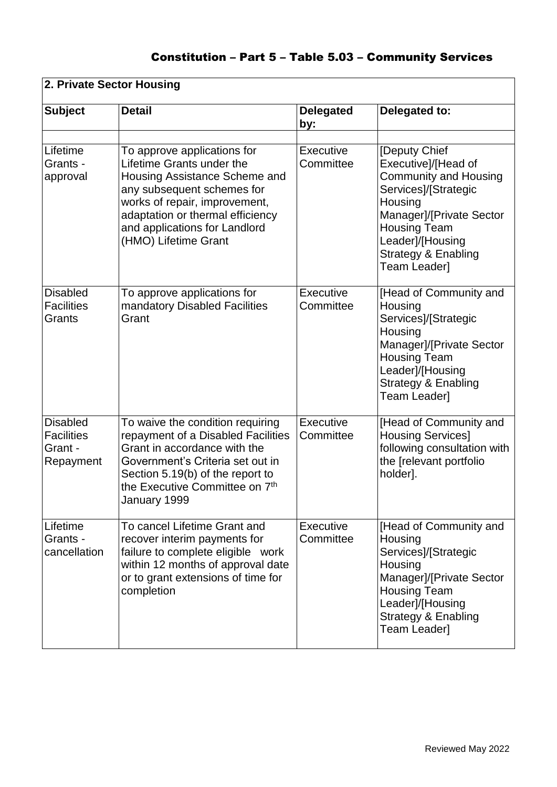#### **2. Private Sector Housing Subject Detail Delegated by: Delegated to:** Lifetime Grants approval To approve applications for Lifetime Grants under the Housing Assistance Scheme and any subsequent schemes for works of repair, improvement, adaptation or thermal efficiency and applications for Landlord (HMO) Lifetime Grant Executive **Committee** [Deputy Chief Executive]/[Head of Community and Housing Services]/[Strategic **Housing** Manager]/[Private Sector Housing Team Leader]/[Housing Strategy & Enabling Team Leader] **Disabled Facilities Grants** To approve applications for mandatory Disabled Facilities **Grant Executive Committee** [Head of Community and **Housing** Services]/[Strategic **Housing** Manager]/[Private Sector Housing Team Leader]/[Housing Strategy & Enabling Team Leader] Disabled **Facilities** Grant - Repayment To waive the condition requiring repayment of a Disabled Facilities Grant in accordance with the Government's Criteria set out in Section 5.19(b) of the report to the Executive Committee on 7<sup>th</sup> January 1999 **Executive Committee** [Head of Community and Housing Services] following consultation with the [relevant portfolio holder]. Lifetime Grants cancellation To cancel Lifetime Grant and recover interim payments for failure to complete eligible work within 12 months of approval date or to grant extensions of time for completion **Executive Committee** [Head of Community and **Housing** Services]/[Strategic **Housing** Manager]/[Private Sector Housing Team Leader]/[Housing Strategy & Enabling Team Leader]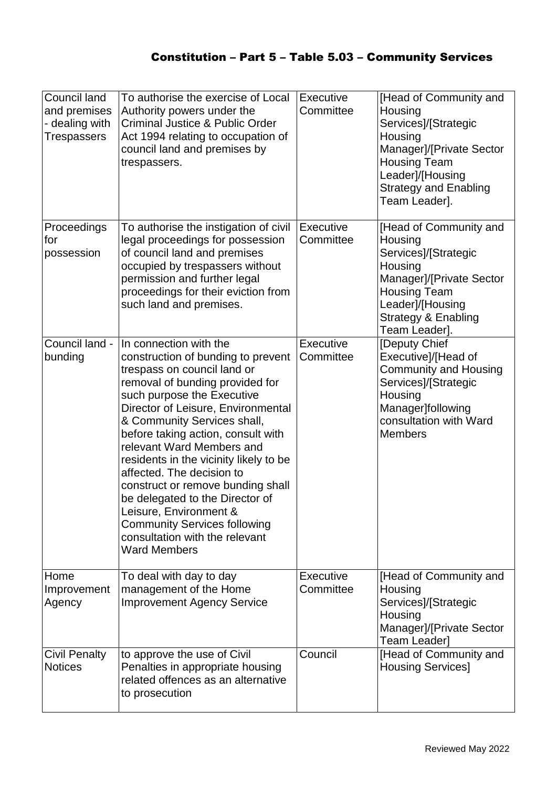| Council land<br>and premises<br>- dealing with<br><b>Trespassers</b> | To authorise the exercise of Local<br>Authority powers under the<br><b>Criminal Justice &amp; Public Order</b><br>Act 1994 relating to occupation of<br>council land and premises by<br>trespassers.                                                                                                                                                                                                                                                                                                                                                                          | Executive<br>Committee | [Head of Community and<br>Housing<br>Services]/[Strategic<br>Housing<br>Manager]/[Private Sector<br><b>Housing Team</b><br>Leader]/[Housing<br><b>Strategy and Enabling</b><br>Team Leader].   |
|----------------------------------------------------------------------|-------------------------------------------------------------------------------------------------------------------------------------------------------------------------------------------------------------------------------------------------------------------------------------------------------------------------------------------------------------------------------------------------------------------------------------------------------------------------------------------------------------------------------------------------------------------------------|------------------------|------------------------------------------------------------------------------------------------------------------------------------------------------------------------------------------------|
| Proceedings<br>for<br>possession                                     | To authorise the instigation of civil<br>legal proceedings for possession<br>of council land and premises<br>occupied by trespassers without<br>permission and further legal<br>proceedings for their eviction from<br>such land and premises.                                                                                                                                                                                                                                                                                                                                | Executive<br>Committee | [Head of Community and<br>Housing<br>Services]/[Strategic<br>Housing<br>Manager]/[Private Sector<br><b>Housing Team</b><br>Leader]/[Housing<br><b>Strategy &amp; Enabling</b><br>Team Leader]. |
| Council land -<br>bunding                                            | In connection with the<br>construction of bunding to prevent<br>trespass on council land or<br>removal of bunding provided for<br>such purpose the Executive<br>Director of Leisure, Environmental<br>& Community Services shall,<br>before taking action, consult with<br>relevant Ward Members and<br>residents in the vicinity likely to be<br>affected. The decision to<br>construct or remove bunding shall<br>be delegated to the Director of<br>Leisure, Environment &<br><b>Community Services following</b><br>consultation with the relevant<br><b>Ward Members</b> | Executive<br>Committee | [Deputy Chief<br>Executive]/[Head of<br><b>Community and Housing</b><br>Services]/[Strategic<br>Housing<br>Manager]following<br>consultation with Ward<br><b>Members</b>                       |
| Home<br>Improvement<br>Agency                                        | To deal with day to day<br>management of the Home<br><b>Improvement Agency Service</b>                                                                                                                                                                                                                                                                                                                                                                                                                                                                                        | Executive<br>Committee | [Head of Community and<br>Housing<br>Services]/[Strategic<br>Housing<br>Manager]/[Private Sector<br><b>Team Leaderl</b>                                                                        |
| <b>Civil Penalty</b><br><b>Notices</b>                               | to approve the use of Civil<br>Penalties in appropriate housing<br>related offences as an alternative<br>to prosecution                                                                                                                                                                                                                                                                                                                                                                                                                                                       | Council                | [Head of Community and<br><b>Housing Services]</b>                                                                                                                                             |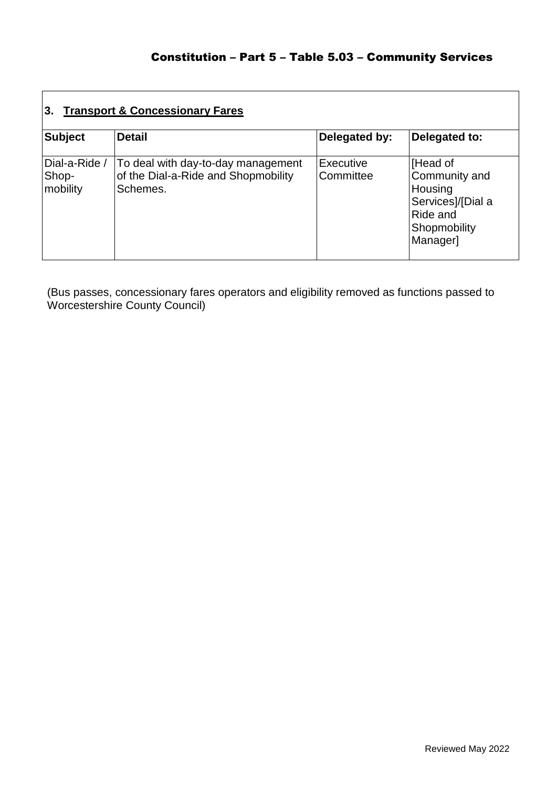| 3.<br><b>Transport &amp; Concessionary Fares</b> |                                                                                       |                        |                                                                                                   |
|--------------------------------------------------|---------------------------------------------------------------------------------------|------------------------|---------------------------------------------------------------------------------------------------|
| <b>Subject</b>                                   | <b>Detail</b>                                                                         | Delegated by:          | Delegated to:                                                                                     |
| Dial-a-Ride /<br>Shop-<br>mobility               | To deal with day-to-day management<br>of the Dial-a-Ride and Shopmobility<br>Schemes. | Executive<br>Committee | [Head of<br>Community and<br>Housing<br>Services]/[Dial a<br>Ride and<br>Shopmobility<br>Manager] |

(Bus passes, concessionary fares operators and eligibility removed as functions passed to Worcestershire County Council)